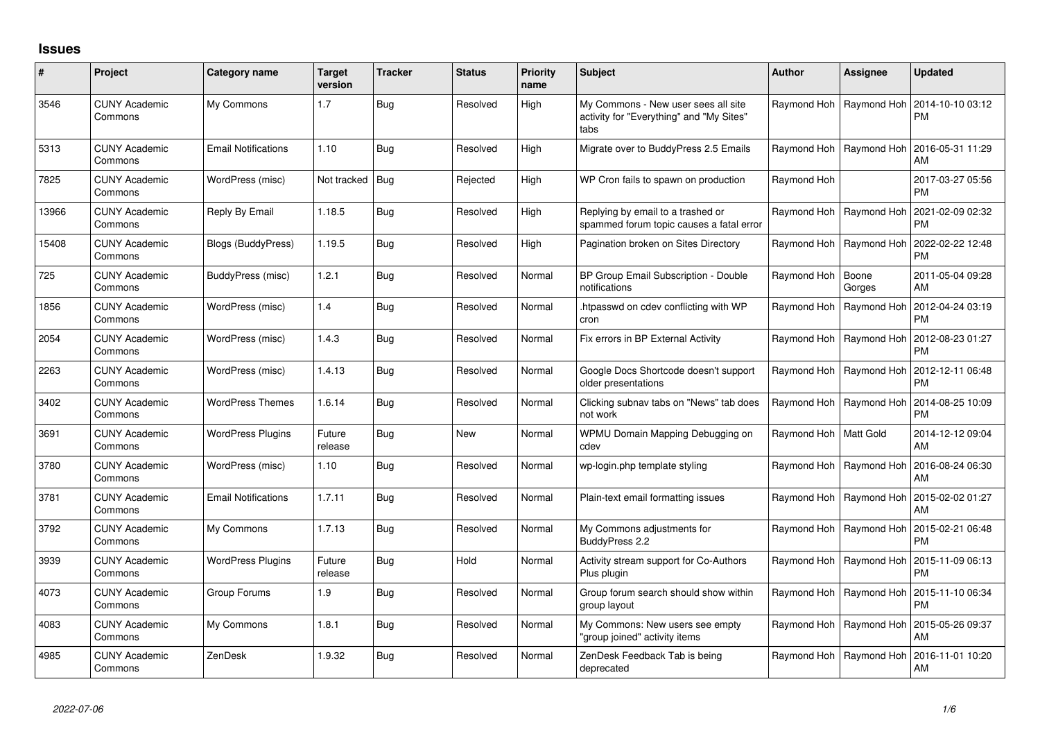## **Issues**

| #     | Project                         | Category name              | <b>Target</b><br>version | <b>Tracker</b> | <b>Status</b> | <b>Priority</b><br>name | <b>Subject</b>                                                                          | <b>Author</b> | <b>Assignee</b> | <b>Updated</b>                |
|-------|---------------------------------|----------------------------|--------------------------|----------------|---------------|-------------------------|-----------------------------------------------------------------------------------------|---------------|-----------------|-------------------------------|
| 3546  | <b>CUNY Academic</b><br>Commons | My Commons                 | 1.7                      | <b>Bug</b>     | Resolved      | High                    | My Commons - New user sees all site<br>activity for "Everything" and "My Sites"<br>tabs | Raymond Hoh   | Raymond Hoh     | 2014-10-10 03:12<br><b>PM</b> |
| 5313  | <b>CUNY Academic</b><br>Commons | <b>Email Notifications</b> | 1.10                     | <b>Bug</b>     | Resolved      | High                    | Migrate over to BuddyPress 2.5 Emails                                                   | Raymond Hoh   | Raymond Hoh     | 2016-05-31 11:29<br>AM        |
| 7825  | <b>CUNY Academic</b><br>Commons | WordPress (misc)           | Not tracked              | <b>Bug</b>     | Rejected      | High                    | WP Cron fails to spawn on production                                                    | Raymond Hoh   |                 | 2017-03-27 05:56<br>PM.       |
| 13966 | <b>CUNY Academic</b><br>Commons | Reply By Email             | 1.18.5                   | <b>Bug</b>     | Resolved      | High                    | Replying by email to a trashed or<br>spammed forum topic causes a fatal error           | Raymond Hoh   | Raymond Hoh     | 2021-02-09 02:32<br><b>PM</b> |
| 15408 | <b>CUNY Academic</b><br>Commons | Blogs (BuddyPress)         | 1.19.5                   | <b>Bug</b>     | Resolved      | High                    | Pagination broken on Sites Directory                                                    | Raymond Hoh   | Raymond Hoh     | 2022-02-22 12:48<br><b>PM</b> |
| 725   | <b>CUNY Academic</b><br>Commons | BuddyPress (misc)          | 1.2.1                    | <b>Bug</b>     | Resolved      | Normal                  | BP Group Email Subscription - Double<br>notifications                                   | Raymond Hoh   | Boone<br>Gorges | 2011-05-04 09:28<br>AM        |
| 1856  | <b>CUNY Academic</b><br>Commons | WordPress (misc)           | 1.4                      | <b>Bug</b>     | Resolved      | Normal                  | htpasswd on cdev conflicting with WP<br>cron                                            | Raymond Hoh   | Raymond Hoh     | 2012-04-24 03:19<br><b>PM</b> |
| 2054  | <b>CUNY Academic</b><br>Commons | WordPress (misc)           | 1.4.3                    | <b>Bug</b>     | Resolved      | Normal                  | Fix errors in BP External Activity                                                      | Raymond Hoh   | Raymond Hoh     | 2012-08-23 01:27<br><b>PM</b> |
| 2263  | <b>CUNY Academic</b><br>Commons | WordPress (misc)           | 1.4.13                   | Bug            | Resolved      | Normal                  | Google Docs Shortcode doesn't support<br>older presentations                            | Raymond Hoh   | Raymond Hoh     | 2012-12-11 06:48<br><b>PM</b> |
| 3402  | <b>CUNY Academic</b><br>Commons | <b>WordPress Themes</b>    | 1.6.14                   | <b>Bug</b>     | Resolved      | Normal                  | Clicking subnav tabs on "News" tab does<br>not work                                     | Raymond Hoh   | Raymond Hoh     | 2014-08-25 10:09<br><b>PM</b> |
| 3691  | <b>CUNY Academic</b><br>Commons | <b>WordPress Plugins</b>   | Future<br>release        | <b>Bug</b>     | New           | Normal                  | WPMU Domain Mapping Debugging on<br>cdev                                                | Raymond Hoh   | Matt Gold       | 2014-12-12 09:04<br>AM        |
| 3780  | <b>CUNY Academic</b><br>Commons | WordPress (misc)           | 1.10                     | <b>Bug</b>     | Resolved      | Normal                  | wp-login.php template styling                                                           | Raymond Hoh   | Raymond Hoh     | 2016-08-24 06:30<br>AM        |
| 3781  | <b>CUNY Academic</b><br>Commons | <b>Email Notifications</b> | 1.7.11                   | <b>Bug</b>     | Resolved      | Normal                  | Plain-text email formatting issues                                                      | Raymond Hoh   | Raymond Hoh     | 2015-02-02 01:27<br>AM        |
| 3792  | <b>CUNY Academic</b><br>Commons | My Commons                 | 1.7.13                   | <b>Bug</b>     | Resolved      | Normal                  | My Commons adjustments for<br>BuddyPress 2.2                                            | Raymond Hoh   | Raymond Hoh     | 2015-02-21 06:48<br><b>PM</b> |
| 3939  | <b>CUNY Academic</b><br>Commons | <b>WordPress Plugins</b>   | Future<br>release        | <b>Bug</b>     | Hold          | Normal                  | Activity stream support for Co-Authors<br>Plus plugin                                   | Raymond Hoh   | Raymond Hoh     | 2015-11-09 06:13<br>PM        |
| 4073  | <b>CUNY Academic</b><br>Commons | Group Forums               | 1.9                      | <b>Bug</b>     | Resolved      | Normal                  | Group forum search should show within<br>group layout                                   | Raymond Hoh   | Raymond Hoh     | 2015-11-10 06:34<br><b>PM</b> |
| 4083  | <b>CUNY Academic</b><br>Commons | My Commons                 | 1.8.1                    | <b>Bug</b>     | Resolved      | Normal                  | My Commons: New users see empty<br>group joined" activity items                         | Raymond Hoh   | Raymond Hoh     | 2015-05-26 09:37<br>AM        |
| 4985  | <b>CUNY Academic</b><br>Commons | ZenDesk                    | 1.9.32                   | <b>Bug</b>     | Resolved      | Normal                  | ZenDesk Feedback Tab is being<br>deprecated                                             | Raymond Hoh   | Raymond Hoh     | 2016-11-01 10:20<br>AM        |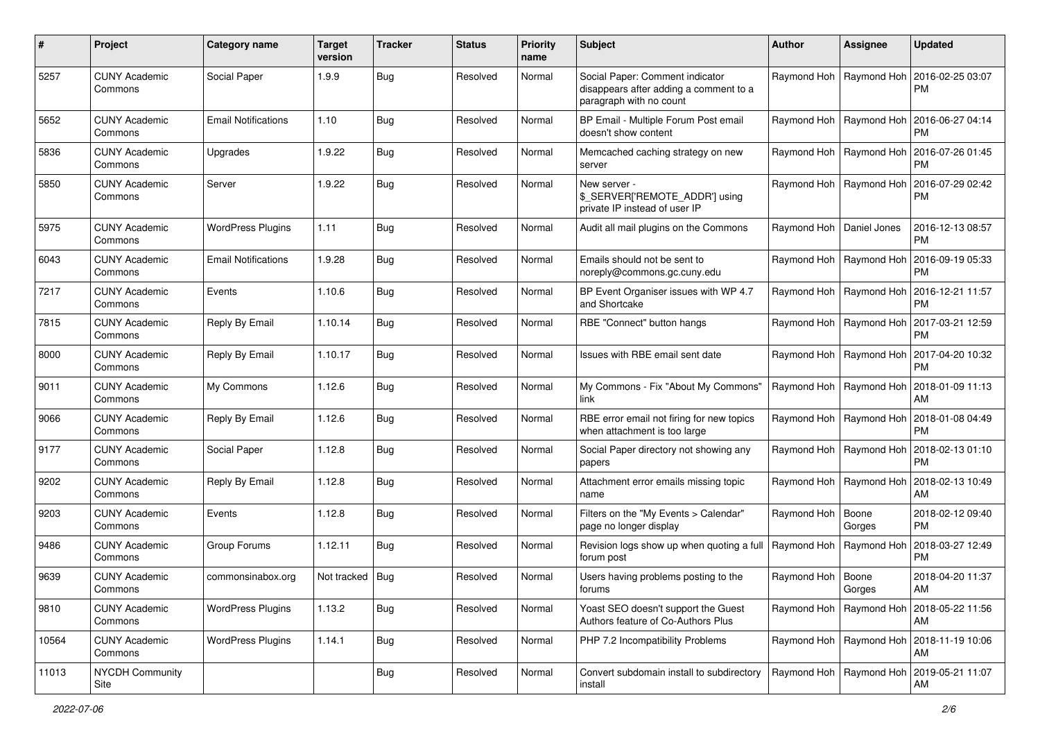| #     | Project                         | Category name              | <b>Target</b><br>version | <b>Tracker</b> | <b>Status</b> | <b>Priority</b><br>name | Subject                                                                                              | <b>Author</b>             | <b>Assignee</b>           | <b>Updated</b>                |
|-------|---------------------------------|----------------------------|--------------------------|----------------|---------------|-------------------------|------------------------------------------------------------------------------------------------------|---------------------------|---------------------------|-------------------------------|
| 5257  | <b>CUNY Academic</b><br>Commons | Social Paper               | 1.9.9                    | <b>Bug</b>     | Resolved      | Normal                  | Social Paper: Comment indicator<br>disappears after adding a comment to a<br>paragraph with no count |                           | Raymond Hoh   Raymond Hoh | 2016-02-25 03:07<br><b>PM</b> |
| 5652  | <b>CUNY Academic</b><br>Commons | <b>Email Notifications</b> | 1.10                     | Bug            | Resolved      | Normal                  | BP Email - Multiple Forum Post email<br>doesn't show content                                         |                           | Raymond Hoh   Raymond Hoh | 2016-06-27 04:14<br><b>PM</b> |
| 5836  | <b>CUNY Academic</b><br>Commons | Upgrades                   | 1.9.22                   | Bug            | Resolved      | Normal                  | Memcached caching strategy on new<br>server                                                          |                           | Raymond Hoh   Raymond Hoh | 2016-07-26 01:45<br><b>PM</b> |
| 5850  | <b>CUNY Academic</b><br>Commons | Server                     | 1.9.22                   | Bug            | Resolved      | Normal                  | New server -<br>\$_SERVER['REMOTE_ADDR'] using<br>private IP instead of user IP                      | Raymond Hoh   Raymond Hoh |                           | 2016-07-29 02:42<br>PM        |
| 5975  | <b>CUNY Academic</b><br>Commons | <b>WordPress Plugins</b>   | 1.11                     | Bug            | Resolved      | Normal                  | Audit all mail plugins on the Commons                                                                | Raymond Hoh               | Daniel Jones              | 2016-12-13 08:57<br><b>PM</b> |
| 6043  | <b>CUNY Academic</b><br>Commons | <b>Email Notifications</b> | 1.9.28                   | Bug            | Resolved      | Normal                  | Emails should not be sent to<br>noreply@commons.gc.cuny.edu                                          | Raymond Hoh   Raymond Hoh |                           | 2016-09-19 05:33<br><b>PM</b> |
| 7217  | <b>CUNY Academic</b><br>Commons | Events                     | 1.10.6                   | Bug            | Resolved      | Normal                  | BP Event Organiser issues with WP 4.7<br>and Shortcake                                               | Raymond Hoh   Raymond Hoh |                           | 2016-12-21 11:57<br><b>PM</b> |
| 7815  | <b>CUNY Academic</b><br>Commons | Reply By Email             | 1.10.14                  | Bug            | Resolved      | Normal                  | RBE "Connect" button hangs                                                                           | Raymond Hoh   Raymond Hoh |                           | 2017-03-21 12:59<br><b>PM</b> |
| 8000  | <b>CUNY Academic</b><br>Commons | Reply By Email             | 1.10.17                  | Bug            | Resolved      | Normal                  | Issues with RBE email sent date                                                                      | Raymond Hoh   Raymond Hoh |                           | 2017-04-20 10:32<br><b>PM</b> |
| 9011  | <b>CUNY Academic</b><br>Commons | My Commons                 | 1.12.6                   | Bug            | Resolved      | Normal                  | My Commons - Fix "About My Commons"<br>link                                                          | Raymond Hoh   Raymond Hoh |                           | 2018-01-09 11:13<br>AM        |
| 9066  | <b>CUNY Academic</b><br>Commons | Reply By Email             | 1.12.6                   | Bug            | Resolved      | Normal                  | RBE error email not firing for new topics<br>when attachment is too large                            | Raymond Hoh   Raymond Hoh |                           | 2018-01-08 04:49<br><b>PM</b> |
| 9177  | <b>CUNY Academic</b><br>Commons | Social Paper               | 1.12.8                   | Bug            | Resolved      | Normal                  | Social Paper directory not showing any<br>papers                                                     | Raymond Hoh               | Raymond Hoh               | 2018-02-13 01:10<br><b>PM</b> |
| 9202  | <b>CUNY Academic</b><br>Commons | Reply By Email             | 1.12.8                   | <b>Bug</b>     | Resolved      | Normal                  | Attachment error emails missing topic<br>name                                                        | Raymond Hoh   Raymond Hoh |                           | 2018-02-13 10:49<br>AM        |
| 9203  | <b>CUNY Academic</b><br>Commons | Events                     | 1.12.8                   | Bug            | Resolved      | Normal                  | Filters on the "My Events > Calendar"<br>page no longer display                                      | Raymond Hoh               | Boone<br>Gorges           | 2018-02-12 09:40<br><b>PM</b> |
| 9486  | <b>CUNY Academic</b><br>Commons | Group Forums               | 1.12.11                  | Bug            | Resolved      | Normal                  | Revision logs show up when quoting a full<br>forum post                                              | Raymond Hoh   Raymond Hoh |                           | 2018-03-27 12:49<br><b>PM</b> |
| 9639  | <b>CUNY Academic</b><br>Commons | commonsinabox.org          | Not tracked   Bug        |                | Resolved      | Normal                  | Users having problems posting to the<br><b>rorums</b>                                                | Raymond Hoh   Boone       | Gorges                    | 2018-04-20 11:37<br>AM        |
| 9810  | <b>CUNY Academic</b><br>Commons | <b>WordPress Plugins</b>   | 1.13.2                   | <b>Bug</b>     | Resolved      | Normal                  | Yoast SEO doesn't support the Guest<br>Authors feature of Co-Authors Plus                            | Raymond Hoh   Raymond Hoh |                           | 2018-05-22 11:56<br>AM        |
| 10564 | <b>CUNY Academic</b><br>Commons | <b>WordPress Plugins</b>   | 1.14.1                   | <b>Bug</b>     | Resolved      | Normal                  | PHP 7.2 Incompatibility Problems                                                                     |                           | Raymond Hoh   Raymond Hoh | 2018-11-19 10:06<br>AM        |
| 11013 | NYCDH Community<br>Site         |                            |                          | <b>Bug</b>     | Resolved      | Normal                  | Convert subdomain install to subdirectory<br>install                                                 | Raymond Hoh   Raymond Hoh |                           | 2019-05-21 11:07<br>AM        |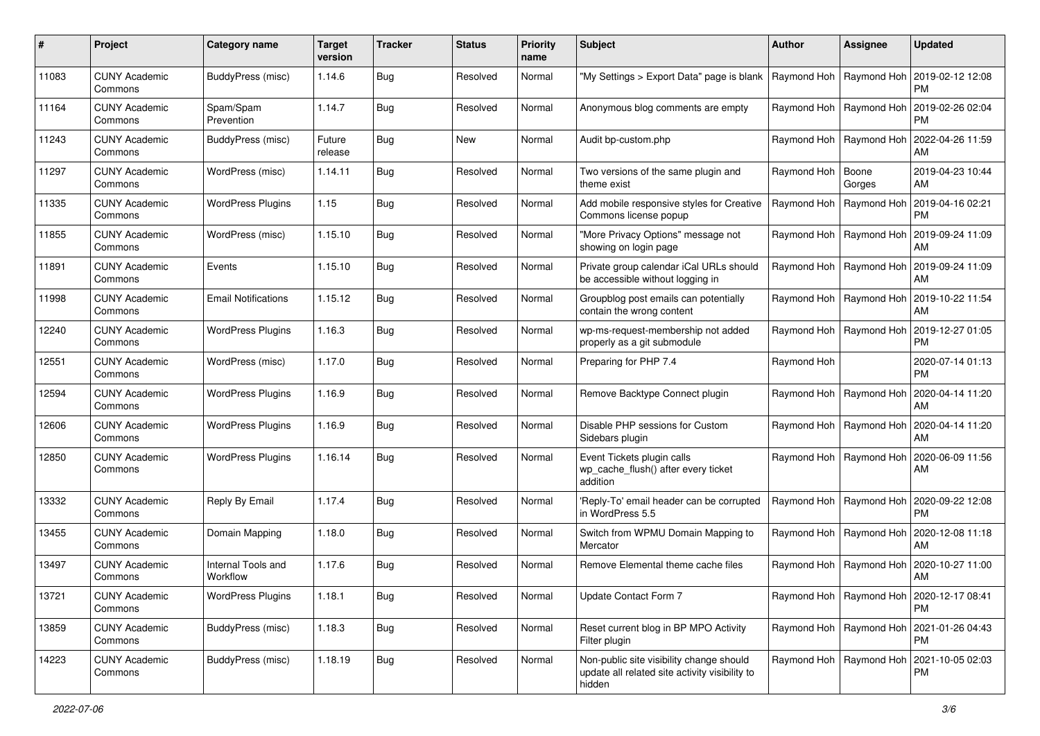| #     | Project                         | <b>Category name</b>           | <b>Target</b><br>version | <b>Tracker</b> | <b>Status</b> | <b>Priority</b><br>name | <b>Subject</b>                                                                                       | <b>Author</b>             | <b>Assignee</b>           | <b>Updated</b>                                            |
|-------|---------------------------------|--------------------------------|--------------------------|----------------|---------------|-------------------------|------------------------------------------------------------------------------------------------------|---------------------------|---------------------------|-----------------------------------------------------------|
| 11083 | <b>CUNY Academic</b><br>Commons | BuddyPress (misc)              | 1.14.6                   | Bug            | Resolved      | Normal                  | "My Settings > Export Data" page is blank                                                            | Raymond Hoh               | Raymond Hoh               | 2019-02-12 12:08<br><b>PM</b>                             |
| 11164 | <b>CUNY Academic</b><br>Commons | Spam/Spam<br>Prevention        | 1.14.7                   | Bug            | Resolved      | Normal                  | Anonymous blog comments are empty                                                                    | Raymond Hoh   Raymond Hoh |                           | 2019-02-26 02:04<br><b>PM</b>                             |
| 11243 | <b>CUNY Academic</b><br>Commons | BuddyPress (misc)              | Future<br>release        | Bug            | New           | Normal                  | Audit bp-custom.php                                                                                  | Raymond Hoh               | Raymond Hoh               | 2022-04-26 11:59<br>AM                                    |
| 11297 | <b>CUNY Academic</b><br>Commons | WordPress (misc)               | 1.14.11                  | Bug            | Resolved      | Normal                  | Two versions of the same plugin and<br>theme exist                                                   | Raymond Hoh               | Boone<br>Gorges           | 2019-04-23 10:44<br>AM                                    |
| 11335 | <b>CUNY Academic</b><br>Commons | <b>WordPress Plugins</b>       | 1.15                     | Bug            | Resolved      | Normal                  | Add mobile responsive styles for Creative<br>Commons license popup                                   | Raymond Hoh               | Raymond Hoh               | 2019-04-16 02:21<br><b>PM</b>                             |
| 11855 | <b>CUNY Academic</b><br>Commons | WordPress (misc)               | 1.15.10                  | Bug            | Resolved      | Normal                  | "More Privacy Options" message not<br>showing on login page                                          | Raymond Hoh   Raymond Hoh |                           | 2019-09-24 11:09<br>AM                                    |
| 11891 | <b>CUNY Academic</b><br>Commons | Events                         | 1.15.10                  | Bug            | Resolved      | Normal                  | Private group calendar iCal URLs should<br>be accessible without logging in                          | Raymond Hoh               | Raymond Hoh               | 2019-09-24 11:09<br>AM                                    |
| 11998 | <b>CUNY Academic</b><br>Commons | <b>Email Notifications</b>     | 1.15.12                  | Bug            | Resolved      | Normal                  | Groupblog post emails can potentially<br>contain the wrong content                                   | Raymond Hoh   Raymond Hoh |                           | 2019-10-22 11:54<br>AM                                    |
| 12240 | <b>CUNY Academic</b><br>Commons | <b>WordPress Plugins</b>       | 1.16.3                   | <b>Bug</b>     | Resolved      | Normal                  | wp-ms-request-membership not added<br>properly as a git submodule                                    | Raymond Hoh   Raymond Hoh |                           | 2019-12-27 01:05<br><b>PM</b>                             |
| 12551 | <b>CUNY Academic</b><br>Commons | WordPress (misc)               | 1.17.0                   | Bug            | Resolved      | Normal                  | Preparing for PHP 7.4                                                                                | Raymond Hoh               |                           | 2020-07-14 01:13<br><b>PM</b>                             |
| 12594 | <b>CUNY Academic</b><br>Commons | <b>WordPress Plugins</b>       | 1.16.9                   | Bug            | Resolved      | Normal                  | Remove Backtype Connect plugin                                                                       | Raymond Hoh               | Raymond Hoh               | 2020-04-14 11:20<br>AM                                    |
| 12606 | <b>CUNY Academic</b><br>Commons | <b>WordPress Plugins</b>       | 1.16.9                   | Bug            | Resolved      | Normal                  | Disable PHP sessions for Custom<br>Sidebars plugin                                                   | Raymond Hoh   Raymond Hoh |                           | 2020-04-14 11:20<br>AM                                    |
| 12850 | <b>CUNY Academic</b><br>Commons | <b>WordPress Plugins</b>       | 1.16.14                  | Bug            | Resolved      | Normal                  | Event Tickets plugin calls<br>wp_cache_flush() after every ticket<br>addition                        | Raymond Hoh   Raymond Hoh |                           | 2020-06-09 11:56<br>AM                                    |
| 13332 | <b>CUNY Academic</b><br>Commons | Reply By Email                 | 1.17.4                   | Bug            | Resolved      | Normal                  | 'Reply-To' email header can be corrupted<br>in WordPress 5.5                                         | Raymond Hoh   Raymond Hoh |                           | 2020-09-22 12:08<br><b>PM</b>                             |
| 13455 | <b>CUNY Academic</b><br>Commons | Domain Mapping                 | 1.18.0                   | Bug            | Resolved      | Normal                  | Switch from WPMU Domain Mapping to<br>Mercator                                                       | Raymond Hoh               | Raymond Hoh               | 2020-12-08 11:18<br>AM                                    |
| 13497 | <b>CUNY Academic</b><br>Commons | Internal Tools and<br>Workflow | 1.17.6                   | Bug            | Resolved      | Normal                  | Remove Elemental theme cache files                                                                   | Raymond Hoh               | Raymond Hoh               | 2020-10-27 11:00<br>AM                                    |
| 13721 | <b>CUNY Academic</b><br>Commons | <b>WordPress Plugins</b>       | 1.18.1                   | <b>Bug</b>     | Resolved      | Normal                  | Update Contact Form 7                                                                                |                           |                           | Raymond Hoh   Raymond Hoh   2020-12-17 08:41<br><b>PM</b> |
| 13859 | <b>CUNY Academic</b><br>Commons | BuddyPress (misc)              | 1.18.3                   | <b>Bug</b>     | Resolved      | Normal                  | Reset current blog in BP MPO Activity<br>Filter plugin                                               |                           | Raymond Hoh   Raymond Hoh | 2021-01-26 04:43<br><b>PM</b>                             |
| 14223 | <b>CUNY Academic</b><br>Commons | BuddyPress (misc)              | 1.18.19                  | <b>Bug</b>     | Resolved      | Normal                  | Non-public site visibility change should<br>update all related site activity visibility to<br>hidden | Raymond Hoh   Raymond Hoh |                           | 2021-10-05 02:03<br>PM                                    |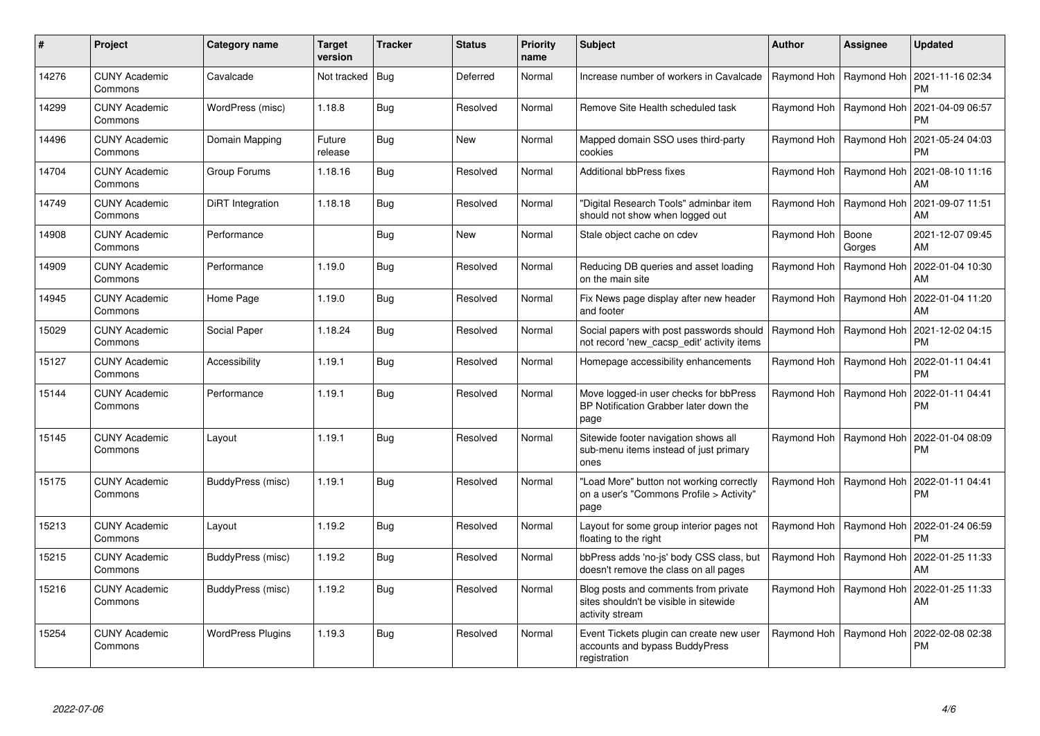| $\#$  | Project                         | Category name            | <b>Target</b><br>version | <b>Tracker</b> | <b>Status</b> | <b>Priority</b><br>name | <b>Subject</b>                                                                                    | <b>Author</b>       | Assignee                  | <b>Updated</b>                                            |
|-------|---------------------------------|--------------------------|--------------------------|----------------|---------------|-------------------------|---------------------------------------------------------------------------------------------------|---------------------|---------------------------|-----------------------------------------------------------|
| 14276 | <b>CUNY Academic</b><br>Commons | Cavalcade                | Not tracked   Bug        |                | Deferred      | Normal                  | Increase number of workers in Cavalcade                                                           |                     |                           | Raymond Hoh   Raymond Hoh   2021-11-16 02:34<br><b>PM</b> |
| 14299 | <b>CUNY Academic</b><br>Commons | WordPress (misc)         | 1.18.8                   | Bug            | Resolved      | Normal                  | Remove Site Health scheduled task                                                                 |                     | Raymond Hoh   Raymond Hoh | 2021-04-09 06:57<br><b>PM</b>                             |
| 14496 | <b>CUNY Academic</b><br>Commons | Domain Mapping           | Future<br>release        | <b>Bug</b>     | New           | Normal                  | Mapped domain SSO uses third-party<br>cookies                                                     |                     | Raymond Hoh   Raymond Hoh | 2021-05-24 04:03<br><b>PM</b>                             |
| 14704 | <b>CUNY Academic</b><br>Commons | Group Forums             | 1.18.16                  | <b>Bug</b>     | Resolved      | Normal                  | Additional bbPress fixes                                                                          |                     | Raymond Hoh   Raymond Hoh | 2021-08-10 11:16<br>AM                                    |
| 14749 | <b>CUNY Academic</b><br>Commons | DiRT Integration         | 1.18.18                  | Bug            | Resolved      | Normal                  | 'Digital Research Tools" adminbar item<br>should not show when logged out                         |                     | Raymond Hoh   Raymond Hoh | 2021-09-07 11:51<br>AM                                    |
| 14908 | <b>CUNY Academic</b><br>Commons | Performance              |                          | <b>Bug</b>     | <b>New</b>    | Normal                  | Stale object cache on cdev                                                                        | Raymond Hoh   Boone | Gorges                    | 2021-12-07 09:45<br>AM                                    |
| 14909 | <b>CUNY Academic</b><br>Commons | Performance              | 1.19.0                   | Bug            | Resolved      | Normal                  | Reducing DB queries and asset loading<br>on the main site                                         |                     | Raymond Hoh   Raymond Hoh | 2022-01-04 10:30<br>AM                                    |
| 14945 | <b>CUNY Academic</b><br>Commons | Home Page                | 1.19.0                   | Bug            | Resolved      | Normal                  | Fix News page display after new header<br>and footer                                              |                     | Raymond Hoh   Raymond Hoh | 2022-01-04 11:20<br>AM                                    |
| 15029 | <b>CUNY Academic</b><br>Commons | Social Paper             | 1.18.24                  | Bug            | Resolved      | Normal                  | Social papers with post passwords should<br>not record 'new cacsp edit' activity items            |                     |                           | Raymond Hoh   Raymond Hoh   2021-12-02 04:15<br><b>PM</b> |
| 15127 | <b>CUNY Academic</b><br>Commons | Accessibility            | 1.19.1                   | Bug            | Resolved      | Normal                  | Homepage accessibility enhancements                                                               |                     | Raymond Hoh   Raymond Hoh | 2022-01-11 04:41<br><b>PM</b>                             |
| 15144 | <b>CUNY Academic</b><br>Commons | Performance              | 1.19.1                   | <b>Bug</b>     | Resolved      | Normal                  | Move logged-in user checks for bbPress<br>BP Notification Grabber later down the<br>page          |                     | Raymond Hoh   Raymond Hoh | 2022-01-11 04:41<br><b>PM</b>                             |
| 15145 | <b>CUNY Academic</b><br>Commons | Layout                   | 1.19.1                   | <b>Bug</b>     | Resolved      | Normal                  | Sitewide footer navigation shows all<br>sub-menu items instead of just primary<br>ones            |                     | Raymond Hoh   Raymond Hoh | 2022-01-04 08:09<br><b>PM</b>                             |
| 15175 | <b>CUNY Academic</b><br>Commons | BuddyPress (misc)        | 1.19.1                   | <b>Bug</b>     | Resolved      | Normal                  | "Load More" button not working correctly<br>on a user's "Commons Profile > Activity"<br>page      |                     |                           | Raymond Hoh   Raymond Hoh   2022-01-11 04:41<br><b>PM</b> |
| 15213 | <b>CUNY Academic</b><br>Commons | Layout                   | 1.19.2                   | <b>Bug</b>     | Resolved      | Normal                  | Layout for some group interior pages not<br>floating to the right                                 |                     | Raymond Hoh   Raymond Hoh | 2022-01-24 06:59<br><b>PM</b>                             |
| 15215 | <b>CUNY Academic</b><br>Commons | BuddyPress (misc)        | 1.19.2                   | <b>Bug</b>     | Resolved      | Normal                  | bbPress adds 'no-js' body CSS class, but<br>doesn't remove the class on all pages                 |                     | Raymond Hoh   Raymond Hoh | 2022-01-25 11:33<br>AM                                    |
| 15216 | <b>CUNY Academic</b><br>Commons | BuddyPress (misc)        | 1.19.2                   | <b>Bug</b>     | Resolved      | Normal                  | Blog posts and comments from private<br>sites shouldn't be visible in sitewide<br>activity stream |                     | Raymond Hoh   Raymond Hoh | 2022-01-25 11:33<br>AM                                    |
| 15254 | <b>CUNY Academic</b><br>Commons | <b>WordPress Plugins</b> | 1.19.3                   | Bug            | Resolved      | Normal                  | Event Tickets plugin can create new user<br>accounts and bypass BuddyPress<br>registration        |                     | Raymond Hoh   Raymond Hoh | 2022-02-08 02:38<br><b>PM</b>                             |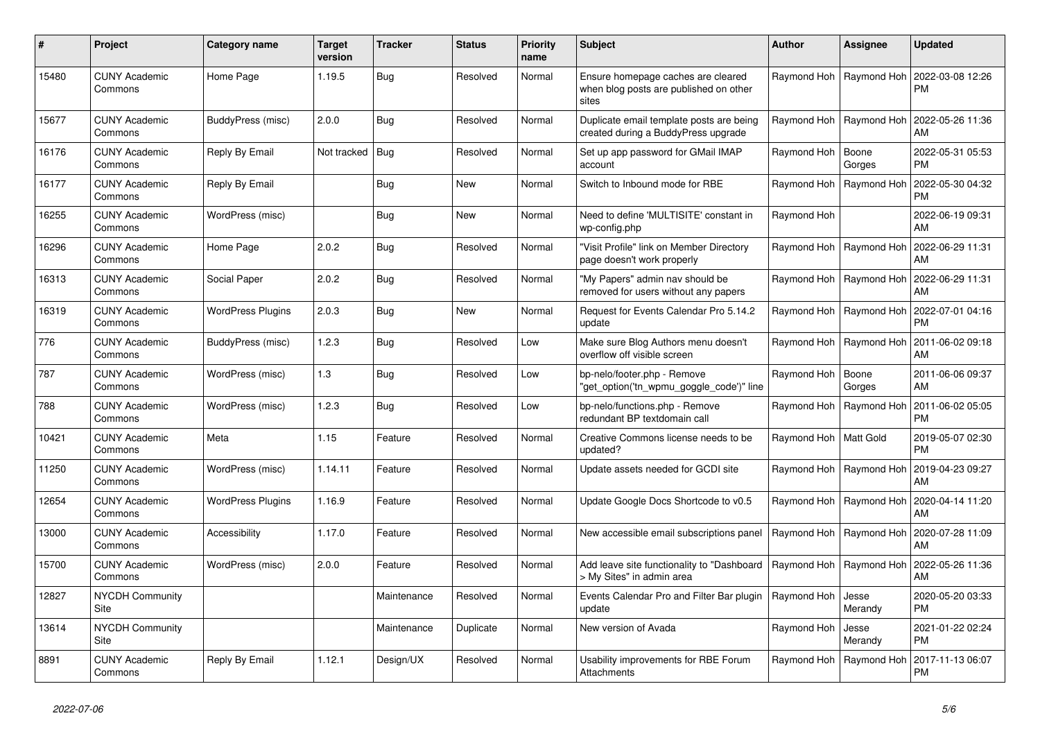| #     | Project                         | Category name            | <b>Target</b><br>version | <b>Tracker</b> | <b>Status</b> | <b>Priority</b><br>name | <b>Subject</b>                                                                        | <b>Author</b>           | Assignee                  | Updated                       |
|-------|---------------------------------|--------------------------|--------------------------|----------------|---------------|-------------------------|---------------------------------------------------------------------------------------|-------------------------|---------------------------|-------------------------------|
| 15480 | <b>CUNY Academic</b><br>Commons | Home Page                | 1.19.5                   | Bug            | Resolved      | Normal                  | Ensure homepage caches are cleared<br>when blog posts are published on other<br>sites |                         | Raymond Hoh   Raymond Hoh | 2022-03-08 12:26<br>PМ        |
| 15677 | <b>CUNY Academic</b><br>Commons | BuddyPress (misc)        | 2.0.0                    | Bug            | Resolved      | Normal                  | Duplicate email template posts are being<br>created during a BuddyPress upgrade       |                         | Raymond Hoh   Raymond Hoh | 2022-05-26 11:36<br>AM        |
| 16176 | <b>CUNY Academic</b><br>Commons | Reply By Email           | Not tracked              | Bug            | Resolved      | Normal                  | Set up app password for GMail IMAP<br>account                                         | Raymond Hoh             | Boone<br>Gorges           | 2022-05-31 05:53<br>РM        |
| 16177 | <b>CUNY Academic</b><br>Commons | Reply By Email           |                          | <b>Bug</b>     | <b>New</b>    | Normal                  | Switch to Inbound mode for RBE                                                        |                         | Raymond Hoh   Raymond Hoh | 2022-05-30 04:32<br><b>PM</b> |
| 16255 | <b>CUNY Academic</b><br>Commons | WordPress (misc)         |                          | Bug            | <b>New</b>    | Normal                  | Need to define 'MULTISITE' constant in<br>wp-config.php                               | Raymond Hoh             |                           | 2022-06-19 09:31<br><b>AM</b> |
| 16296 | <b>CUNY Academic</b><br>Commons | Home Page                | 2.0.2                    | Bug            | Resolved      | Normal                  | 'Visit Profile" link on Member Directory<br>page doesn't work properly                |                         | Raymond Hoh   Raymond Hoh | 2022-06-29 11:31<br>AM        |
| 16313 | <b>CUNY Academic</b><br>Commons | Social Paper             | 2.0.2                    | <b>Bug</b>     | Resolved      | Normal                  | "My Papers" admin nav should be<br>removed for users without any papers               |                         | Raymond Hoh   Raymond Hoh | 2022-06-29 11:31<br>AM        |
| 16319 | <b>CUNY Academic</b><br>Commons | <b>WordPress Plugins</b> | 2.0.3                    | Bug            | <b>New</b>    | Normal                  | Request for Events Calendar Pro 5.14.2<br>update                                      | Raymond Hoh             | Raymond Hoh               | 2022-07-01 04:16<br>PM        |
| 776   | <b>CUNY Academic</b><br>Commons | BuddyPress (misc)        | 1.2.3                    | Bug            | Resolved      | Low                     | Make sure Blog Authors menu doesn't<br>overflow off visible screen                    |                         | Raymond Hoh   Raymond Hoh | 2011-06-02 09:18<br>AM        |
| 787   | <b>CUNY Academic</b><br>Commons | WordPress (misc)         | 1.3                      | Bug            | Resolved      | Low                     | bp-nelo/footer.php - Remove                                                           | Raymond Hoh             | Boone<br>Gorges           | 2011-06-06 09:37<br><b>AM</b> |
| 788   | <b>CUNY Academic</b><br>Commons | WordPress (misc)         | 1.2.3                    | Bug            | Resolved      | Low                     | bp-nelo/functions.php - Remove<br>redundant BP textdomain call                        | Raymond Hoh             | Raymond Hoh               | 2011-06-02 05:05<br><b>PM</b> |
| 10421 | <b>CUNY Academic</b><br>Commons | Meta                     | 1.15                     | Feature        | Resolved      | Normal                  | Creative Commons license needs to be<br>updated?                                      | Raymond Hoh   Matt Gold |                           | 2019-05-07 02:30<br><b>PM</b> |
| 11250 | <b>CUNY Academic</b><br>Commons | WordPress (misc)         | 1.14.11                  | Feature        | Resolved      | Normal                  | Update assets needed for GCDI site                                                    | Raymond Hoh             | Raymond Hoh               | 2019-04-23 09:27<br><b>AM</b> |
| 12654 | <b>CUNY Academic</b><br>Commons | <b>WordPress Plugins</b> | 1.16.9                   | Feature        | Resolved      | Normal                  | Update Google Docs Shortcode to v0.5                                                  | Raymond Hoh             | Raymond Hoh               | 2020-04-14 11:20<br>AM        |
| 13000 | <b>CUNY Academic</b><br>Commons | Accessibility            | 1.17.0                   | Feature        | Resolved      | Normal                  | New accessible email subscriptions panel                                              |                         | Raymond Hoh   Raymond Hoh | 2020-07-28 11:09<br>AM        |
| 15700 | <b>CUNY Academic</b><br>Commons | WordPress (misc)         | 2.0.0                    | Feature        | Resolved      | Normal                  | Add leave site functionality to "Dashboard<br>> My Sites" in admin area               |                         | Raymond Hoh   Raymond Hoh | 2022-05-26 11:36<br>AM        |
| 12827 | <b>NYCDH Community</b><br>Site  |                          |                          | Maintenance    | Resolved      | Normal                  | Events Calendar Pro and Filter Bar plugin<br>update                                   | Raymond Hoh             | Jesse<br>Merandy          | 2020-05-20 03:33<br><b>PM</b> |
| 13614 | <b>NYCDH Community</b><br>Site  |                          |                          | Maintenance    | Duplicate     | Normal                  | New version of Avada                                                                  | Raymond Hoh             | Jesse<br>Merandy          | 2021-01-22 02:24<br>PM        |
| 8891  | <b>CUNY Academic</b><br>Commons | Reply By Email           | 1.12.1                   | Design/UX      | Resolved      | Normal                  | Usability improvements for RBE Forum<br>Attachments                                   | Raymond Hoh             | Raymond Hoh               | 2017-11-13 06:07<br><b>PM</b> |